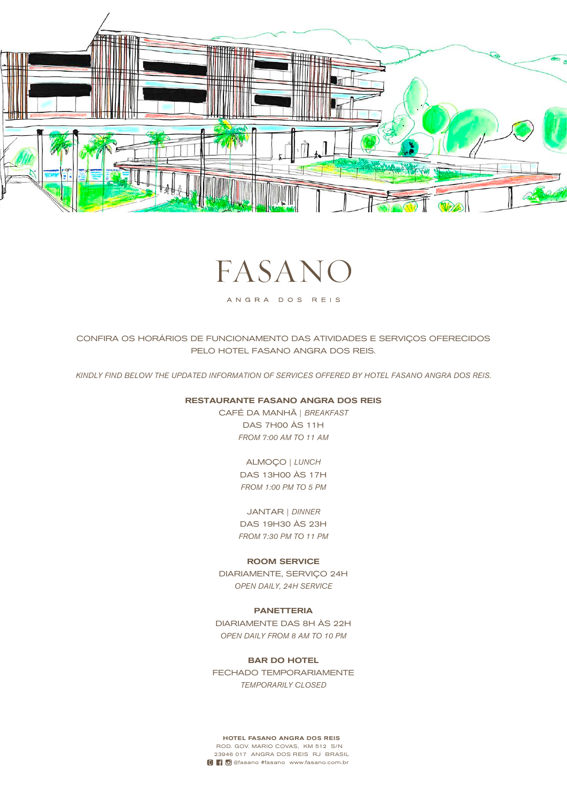

# FASAN

ANGRA DOS REIS

CONFIRA OS HORÁRIOS DE FUNCIONAMENTO DAS ATIVIDADES E SERVIÇOS OFERECIDOS PELO HOTEL FASANO ANGRA DOS REIS.

*KINDLY FIND BELOW THE UPDATED INFORMATION OF SERVICES OFFERED BY HOTEL FASANO ANGRA DOS REIS.*

## RESTAURANTE FASANO ANGRA DOS REIS

CAFÉ DA MANHÃ | *BREAKFAST* DAS 7H00 ÀS 11H *FROM 7:00 AM TO 11 AM*

> ALMOÇO | *LUNCH* DAS 13H00 ÀS 17H *FROM 1:00 PM TO 5 PM*

JANTAR | *DINNER* DAS 19H30 ÀS 23H *FROM 7:30 PM TO 11 PM*

## ROOM SERVICE

DIARIAMENTE, SERVIÇO 24H *OPEN DAILY, 24H SERVICE*

## PANETTERIA

DIARIAMENTE DAS 8H ÀS 22H *OPEN DAILY FROM 8 AM TO 10 PM*

BAR DO HOTEL FECHADO TEMPORARIAMENTE *TEMPORARILY CLOSED*

HOTEL FASANO ANGRA DOS REIS ROD. GOV. MARIO COVAS, KM 512 S/N 23946 017 ANGRA DOS REIS RJ BRASIL **D f**  $\bullet$  @fasano #fasano www.fasano.com.br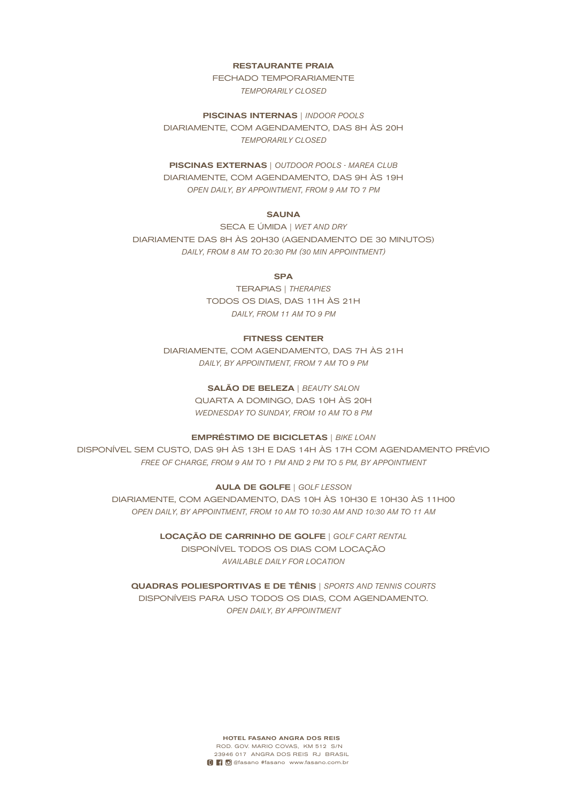#### RESTAURANTE PRAIA

FECHADO TEMPORARIAMENTE *TEMPORARILY CLOSED*

PISCINAS INTERNAS | *INDOOR POOLS* DIARIAMENTE, COM AGENDAMENTO, DAS 8H ÀS 20H *TEMPORARILY CLOSED*

## PISCINAS EXTERNAS | *OUTDOOR POOLS - MAREA CLUB* DIARIAMENTE, COM AGENDAMENTO, DAS 9H ÀS 19H

*OPEN DAILY, BY APPOINTMENT, FROM 9 AM TO 7 PM*

## **SAUNA**

SECA E ÚMIDA | *WET AND DRY* DIARIAMENTE DAS 8H ÀS 20H30 (AGENDAMENTO DE 30 MINUTOS) *DAILY, FROM 8 AM TO 20:30 PM (30 MIN APPOINTMENT)*

## SPA

TERAPIAS | *THERAPIES* TODOS OS DIAS, DAS 11H ÀS 21H *DAILY, FROM 11 AM TO 9 PM*

## FITNESS CENTER

DIARIAMENTE, COM AGENDAMENTO, DAS 7H ÀS 21H *DAILY, BY APPOINTMENT, FROM 7 AM TO 9 PM*

## SALÃO DE BELEZA | *BEAUTY SALON*

QUARTA A DOMINGO, DAS 10H ÀS 20H *WEDNESDAY TO SUNDAY, FROM 10 AM TO 8 PM*

#### EMPRÉSTIMO DE BICICLETAS | *BIKE LOAN*

DISPONÍVEL SEM CUSTO, DAS 9H ÀS 13H E DAS 14H ÀS 17H COM AGENDAMENTO PRÉVIO *FREE OF CHARGE, FROM 9 AM TO 1 PM AND 2 PM TO 5 PM, BY APPOINTMENT*

#### AULA DE GOLFE | *GOLF LESSON*

DIARIAMENTE, COM AGENDAMENTO, DAS 10H ÀS 10H30 E 10H30 ÀS 11H00 *OPEN DAILY, BY APPOINTMENT, FROM 10 AM TO 10:30 AM AND 10:30 AM TO 11 AM*

> LOCAÇÃO DE CARRINHO DE GOLFE | *GOLF CART RENTAL* DISPONÍVEL TODOS OS DIAS COM LOCAÇÃO *AVAILABLE DAILY FOR LOCATION*

## QUADRAS POLIESPORTIVAS E DE TÊNIS | *SPORTS AND TENNIS COURTS* DISPONÍVEIS PARA USO TODOS OS DIAS, COM AGENDAMENTO. *OPEN DAILY, BY APPOINTMENT*

HOTEL FASANO ANGRA DOS REIS ROD. GOV. MARIO COVAS, KM 512 S/N 23946 017 ANGRA DOS REIS RJ BRASIL **D C** @fasano #fasano www.fasano.com.br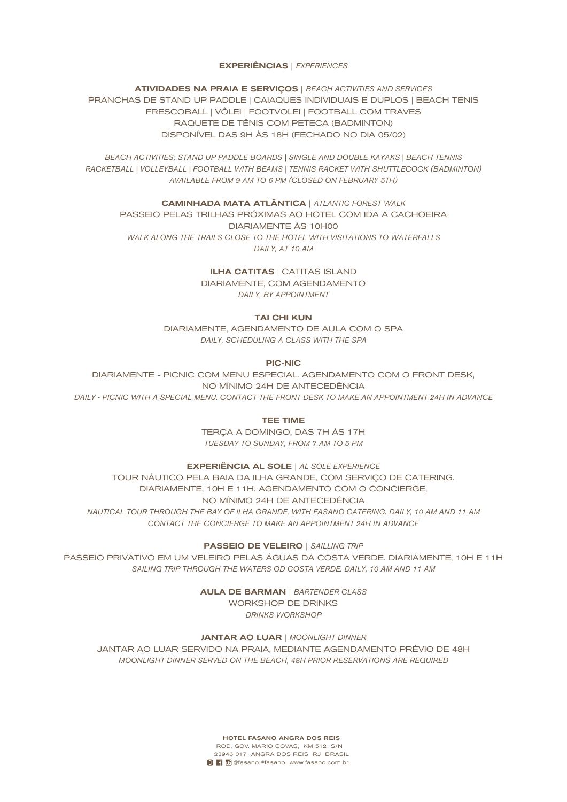#### EXPERIÊNCIAS | *EXPERIENCES*

ATIVIDADES NA PRAIA E SERVIÇOS | *BEACH ACTIVITIES AND SERVICES* PRANCHAS DE STAND UP PADDLE | CAIAQUES INDIVIDUAIS E DUPLOS | BEACH TENIS FRESCOBALL | VÔLEI | FOOTVOLEI | FOOTBALL COM TRAVES RAQUETE DE TÊNIS COM PETECA (BADMINTON) DISPONÍVEL DAS 9H ÀS 18H (FECHADO NO DIA 05/02)

*BEACH ACTIVITIES: STAND UP PADDLE BOARDS | SINGLE AND DOUBLE KAYAKS | BEACH TENNIS RACKETBALL | VOLLEYBALL | FOOTBALL WITH BEAMS | TENNIS RACKET WITH SHUTTLECOCK (BADMINTON) AVAILABLE FROM 9 AM TO 6 PM (CLOSED ON FEBRUARY 5TH)*

CAMINHADA MATA ATLÂNTICA | *ATLANTIC FOREST WALK* PASSEIO PELAS TRILHAS PRÓXIMAS AO HOTEL COM IDA A CACHOEIRA DIARIAMENTE ÀS 10H00 *WALK ALONG THE TRAILS CLOSE TO THE HOTEL WITH VISITATIONS TO WATERFALLS DAILY, AT 10 AM*

> ILHA CATITAS | CATITAS ISLAND DIARIAMENTE, COM AGENDAMENTO *DAILY, BY APPOINTMENT*

## TAI CHI KUN

DIARIAMENTE, AGENDAMENTO DE AULA COM O SPA *DAILY, SCHEDULING A CLASS WITH THE SPA*

PIC-NIC

DIARIAMENTE - PICNIC COM MENU ESPECIAL. AGENDAMENTO COM O FRONT DESK, NO MÍNIMO 24H DE ANTECEDÊNCIA *DAILY - PICNIC WITH A SPECIAL MENU. CONTACT THE FRONT DESK TO MAKE AN APPOINTMENT 24H IN ADVANCE*

TEE TIME

TERÇA A DOMINGO, DAS 7H ÀS 17H *TUESDAY TO SUNDAY, FROM 7 AM TO 5 PM*

EXPERIÊNCIA AL SOLE | *AL SOLE EXPERIENCE*

TOUR NÁUTICO PELA BAIA DA ILHA GRANDE, COM SERVIÇO DE CATERING. DIARIAMENTE, 10H E 11H. AGENDAMENTO COM O CONCIERGE, NO MÍNIMO 24H DE ANTECEDÊNCIA *NAUTICAL TOUR THROUGH THE BAY OF ILHA GRANDE, WITH FASANO CATERING. DAILY, 10 AM AND 11 AM CONTACT THE CONCIERGE TO MAKE AN APPOINTMENT 24H IN ADVANCE*

PASSEIO DE VELEIRO | *SAILLING TRIP*

PASSEIO PRIVATIVO EM UM VELEIRO PELAS ÁGUAS DA COSTA VERDE. DIARIAMENTE, 10H E 11H *SAILING TRIP THROUGH THE WATERS OD COSTA VERDE. DAILY, 10 AM AND 11 AM*

AULA DE BARMAN | *BARTENDER CLASS*

WORKSHOP DE DRINKS *DRINKS WORKSHOP*

JANTAR AO LUAR | *MOONLIGHT DINNER*

JANTAR AO LUAR SERVIDO NA PRAIA, MEDIANTE AGENDAMENTO PRÉVIO DE 48H *MOONLIGHT DINNER SERVED ON THE BEACH, 48H PRIOR RESERVATIONS ARE REQUIRED*

> HOTEL FASANO ANGRA DOS REIS ROD. GOV. MARIO COVAS, KM 512 S/N 23946 017 ANGRA DOS REIS RJ BRASIL **D C** @fasano #fasano www.fasano.com.br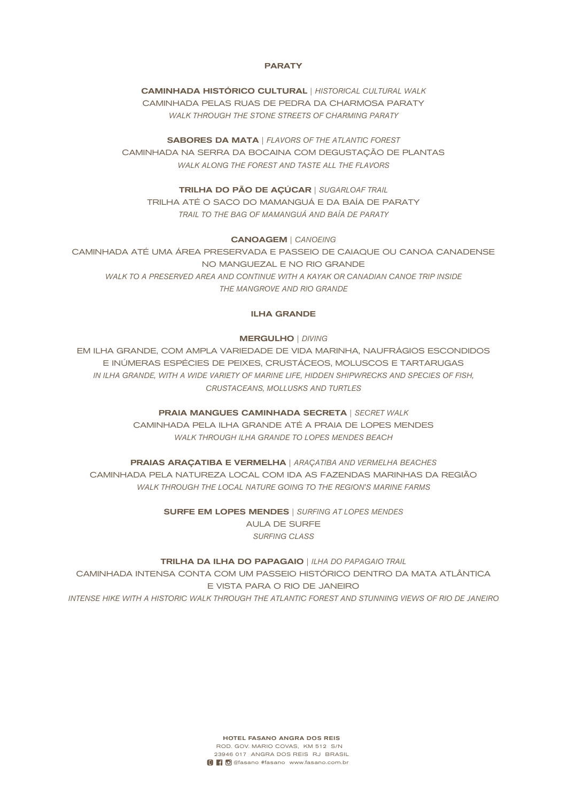## **PARATY**

## CAMINHADA HISTÓRICO CULTURAL | *HISTORICAL CULTURAL WALK* CAMINHADA PELAS RUAS DE PEDRA DA CHARMOSA PARATY *WALK THROUGH THE STONE STREETS OF CHARMING PARATY*

SABORES DA MATA | *FLAVORS OF THE ATLANTIC FOREST* CAMINHADA NA SERRA DA BOCAINA COM DEGUSTAÇÃO DE PLANTAS *WALK ALONG THE FOREST AND TASTE ALL THE FLAVORS*

TRILHA DO PÃO DE AÇÚCAR | *SUGARLOAF TRAIL* TRILHA ATÉ O SACO DO MAMANGUÁ E DA BAÍA DE PARATY *TRAIL TO THE BAG OF MAMANGUÁ AND BAÍA DE PARATY*

#### CANOAGEM | *CANOEING*

CAMINHADA ATÉ UMA ÁREA PRESERVADA E PASSEIO DE CAIAQUE OU CANOA CANADENSE NO MANGUEZAL E NO RIO GRANDE WALK TO A PRESERVED AREA AND CONTINUE WITH A KAYAK OR CANADIAN CANOE TRIP INSIDE *THE MANGROVE AND RIO GRANDE*

## ILHA GRANDE

#### MERGULHO | *DIVING*

EM ILHA GRANDE, COM AMPLA VARIEDADE DE VIDA MARINHA, NAUFRÁGIOS ESCONDIDOS E INÚMERAS ESPÉCIES DE PEIXES, CRUSTÁCEOS, MOLUSCOS E TARTARUGAS *IN ILHA GRANDE, WITH A WIDE VARIETY OF MARINE LIFE, HIDDEN SHIPWRECKS AND SPECIES OF FISH, CRUSTACEANS, MOLLUSKS AND TURTLES*

> PRAIA MANGUES CAMINHADA SECRETA | *SECRET WALK* CAMINHADA PELA ILHA GRANDE ATÉ A PRAIA DE LOPES MENDES *WALK THROUGH ILHA GRANDE TO LOPES MENDES BEACH*

PRAIAS ARAÇATIBA E VERMELHA | *ARAÇATIBA AND VERMELHA BEACHES* CAMINHADA PELA NATUREZA LOCAL COM IDA AS FAZENDAS MARINHAS DA REGIÃO *WALK THROUGH THE LOCAL NATURE GOING TO THE REGION'S MARINE FARMS*

> SURFE EM LOPES MENDES | *SURFING AT LOPES MENDES* AULA DE SURFE *SURFING CLASS*

TRILHA DA ILHA DO PAPAGAIO | *ILHA DO PAPAGAIO TRAIL*

CAMINHADA INTENSA CONTA COM UM PASSEIO HISTÓRICO DENTRO DA MATA ATLÂNTICA E VISTA PARA O RIO DE JANEIRO *INTENSE HIKE WITH A HISTORIC WALK THROUGH THE ATLANTIC FOREST AND STUNNING VIEWS OF RIO DE JANEIRO*